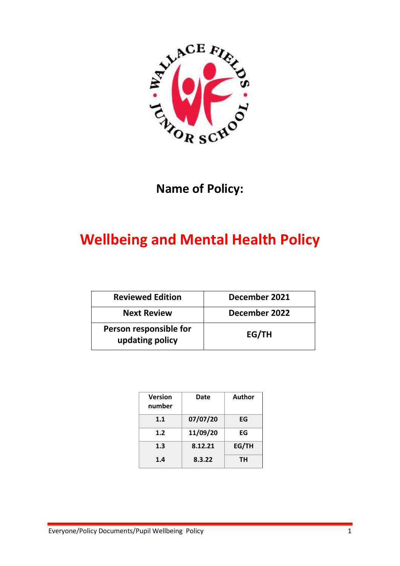

## **Name of Policy:**

# **Wellbeing and Mental Health Policy**

| <b>Reviewed Edition</b>                   | December 2021 |  |
|-------------------------------------------|---------------|--|
| <b>Next Review</b>                        | December 2022 |  |
| Person responsible for<br>updating policy | EG/TH         |  |

| <b>Version</b><br>number | Date     | Author |
|--------------------------|----------|--------|
| 1.1                      | 07/07/20 | EG     |
| 1.2                      | 11/09/20 | EG     |
| 1.3                      | 8.12.21  | EG/TH  |
| 1.4                      | 8.3.22   | ΤН     |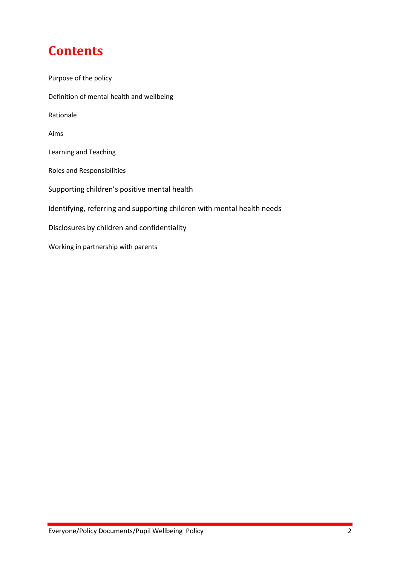# **Contents**

| Purpose of the policy                                                   |
|-------------------------------------------------------------------------|
| Definition of mental health and wellbeing                               |
| Rationale                                                               |
| Aims                                                                    |
| Learning and Teaching                                                   |
| Roles and Responsibilities                                              |
| Supporting children's positive mental health                            |
| Identifying, referring and supporting children with mental health needs |
| Disclosures by children and confidentiality                             |
| Working in partnership with parents                                     |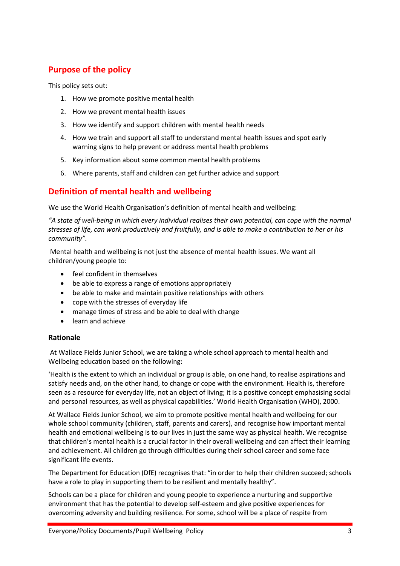## <span id="page-2-0"></span>**Purpose of the policy**

This policy sets out:

- 1. How we promote positive mental health
- 2. How we prevent mental health issues
- 3. How we identify and support children with mental health needs
- 4. How we train and support all staff to understand mental health issues and spot early warning signs to help prevent or address mental health problems
- 5. Key information about some common mental health problems
- 6. Where parents, staff and children can get further advice and support

## <span id="page-2-1"></span>**Definition of mental health and wellbeing**

We use the World Health Organisation's definition of mental health and wellbeing:

*"A state of well-being in which every individual realises their own potential, can cope with the normal stresses of life, can work productively and fruitfully, and is able to make a contribution to her or his community".*

Mental health and wellbeing is not just the absence of mental health issues. We want all children/young people to:

- feel confident in themselves
- be able to express a range of emotions appropriately
- be able to make and maintain positive relationships with others
- cope with the stresses of everyday life
- manage times of stress and be able to deal with change
- **•** learn and achieve

## <span id="page-2-2"></span>**Rationale**

At Wallace Fields Junior School, we are taking a whole school approach to mental health and Wellbeing education based on the following:

'Health is the extent to which an individual or group is able, on one hand, to realise aspirations and satisfy needs and, on the other hand, to change or cope with the environment. Health is, therefore seen as a resource for everyday life, not an object of living; it is a positive concept emphasising social and personal resources, as well as physical capabilities.' World Health Organisation (WHO), 2000.

At Wallace Fields Junior School, we aim to promote positive mental health and wellbeing for our whole school community (children, staff, parents and carers), and recognise how important mental health and emotional wellbeing is to our lives in just the same way as physical health. We recognise that children's mental health is a crucial factor in their overall wellbeing and can affect their learning and achievement. All children go through difficulties during their school career and some face significant life events.

The Department for Education (DfE) recognises that: "in order to help their children succeed; schools have a role to play in supporting them to be resilient and mentally healthy".

Schools can be a place for children and young people to experience a nurturing and supportive environment that has the potential to develop self-esteem and give positive experiences for overcoming adversity and building resilience. For some, school will be a place of respite from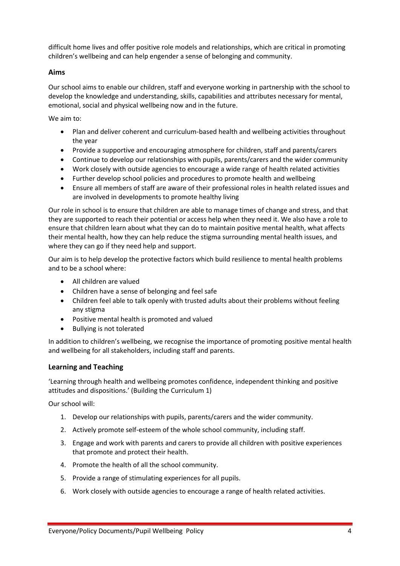difficult home lives and offer positive role models and relationships, which are critical in promoting children's wellbeing and can help engender a sense of belonging and community.

## <span id="page-3-0"></span>**Aims**

Our school aims to enable our children, staff and everyone working in partnership with the school to develop the knowledge and understanding, skills, capabilities and attributes necessary for mental, emotional, social and physical wellbeing now and in the future.

We aim to:

- Plan and deliver coherent and curriculum-based health and wellbeing activities throughout the year
- Provide a supportive and encouraging atmosphere for children, staff and parents/carers
- Continue to develop our relationships with pupils, parents/carers and the wider community
- Work closely with outside agencies to encourage a wide range of health related activities
- Further develop school policies and procedures to promote health and wellbeing
- Ensure all members of staff are aware of their professional roles in health related issues and are involved in developments to promote healthy living

Our role in school is to ensure that children are able to manage times of change and stress, and that they are supported to reach their potential or access help when they need it. We also have a role to ensure that children learn about what they can do to maintain positive mental health, what affects their mental health, how they can help reduce the stigma surrounding mental health issues, and where they can go if they need help and support.

Our aim is to help develop the protective factors which build resilience to mental health problems and to be a school where:

- All children are valued
- Children have a sense of belonging and feel safe
- Children feel able to talk openly with trusted adults about their problems without feeling any stigma
- Positive mental health is promoted and valued
- Bullying is not tolerated

In addition to children's wellbeing, we recognise the importance of promoting positive mental health and wellbeing for all stakeholders, including staff and parents.

## <span id="page-3-1"></span>**Learning and Teaching**

'Learning through health and wellbeing promotes confidence, independent thinking and positive attitudes and dispositions.' (Building the Curriculum 1)

Our school will:

- 1. Develop our relationships with pupils, parents/carers and the wider community.
- 2. Actively promote self-esteem of the whole school community, including staff.
- 3. Engage and work with parents and carers to provide all children with positive experiences that promote and protect their health.
- 4. Promote the health of all the school community.
- 5. Provide a range of stimulating experiences for all pupils.
- 6. Work closely with outside agencies to encourage a range of health related activities.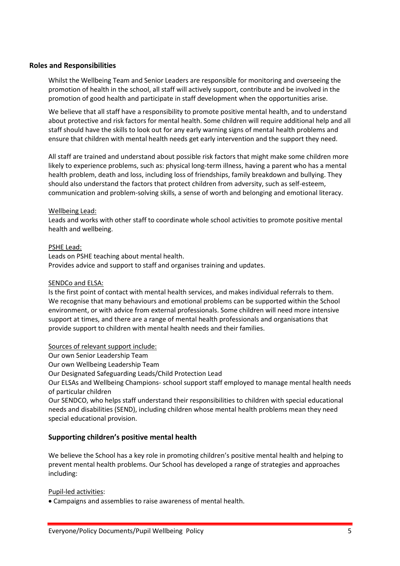## <span id="page-4-0"></span>**Roles and Responsibilities**

Whilst the Wellbeing Team and Senior Leaders are responsible for monitoring and overseeing the promotion of health in the school, all staff will actively support, contribute and be involved in the promotion of good health and participate in staff development when the opportunities arise.

We believe that all staff have a responsibility to promote positive mental health, and to understand about protective and risk factors for mental health. Some children will require additional help and all staff should have the skills to look out for any early warning signs of mental health problems and ensure that children with mental health needs get early intervention and the support they need.

All staff are trained and understand about possible risk factors that might make some children more likely to experience problems, such as: physical long-term illness, having a parent who has a mental health problem, death and loss, including loss of friendships, family breakdown and bullying. They should also understand the factors that protect children from adversity, such as self-esteem, communication and problem-solving skills, a sense of worth and belonging and emotional literacy.

## Wellbeing Lead:

Leads and works with other staff to coordinate whole school activities to promote positive mental health and wellbeing.

## PSHE Lead:

Leads on PSHE teaching about mental health. Provides advice and support to staff and organises training and updates.

#### SENDCo and ELSA:

Is the first point of contact with mental health services, and makes individual referrals to them. We recognise that many behaviours and emotional problems can be supported within the School environment, or with advice from external professionals. Some children will need more intensive support at times, and there are a range of mental health professionals and organisations that provide support to children with mental health needs and their families.

#### Sources of relevant support include:

Our own Senior Leadership Team

Our own Wellbeing Leadership Team

Our Designated Safeguarding Leads/Child Protection Lead

Our ELSAs and Wellbeing Champions- school support staff employed to manage mental health needs of particular children

Our SENDCO, who helps staff understand their responsibilities to children with special educational needs and disabilities (SEND), including children whose mental health problems mean they need special educational provision.

## **Supporting children's positive mental health**

We believe the School has a key role in promoting children's positive mental health and helping to prevent mental health problems. Our School has developed a range of strategies and approaches including:

## Pupil-led activities:

Campaigns and assemblies to raise awareness of mental health.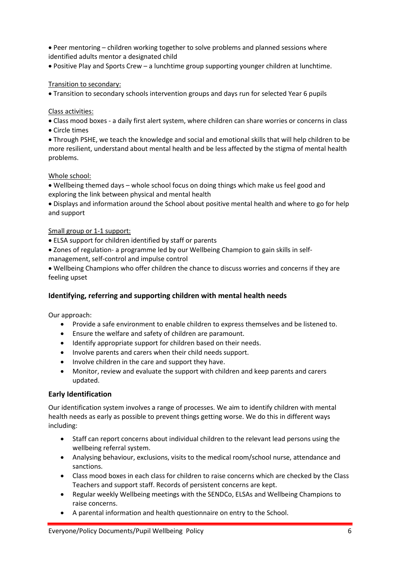Peer mentoring – children working together to solve problems and planned sessions where identified adults mentor a designated child

Positive Play and Sports Crew – a lunchtime group supporting younger children at lunchtime.

## Transition to secondary:

Transition to secondary schools intervention groups and days run for selected Year 6 pupils

## Class activities:

- Class mood boxes a daily first alert system, where children can share worries or concerns in class
- Circle times

 Through PSHE, we teach the knowledge and social and emotional skills that will help children to be more resilient, understand about mental health and be less affected by the stigma of mental health problems.

## Whole school:

 Wellbeing themed days – whole school focus on doing things which make us feel good and exploring the link between physical and mental health

 Displays and information around the School about positive mental health and where to go for help and support

## Small group or 1-1 support:

- ELSA support for children identified by staff or parents
- Zones of regulation- a programme led by our Wellbeing Champion to gain skills in selfmanagement, self-control and impulse control
- Wellbeing Champions who offer children the chance to discuss worries and concerns if they are feeling upset

## **Identifying, referring and supporting children with mental health needs**

Our approach:

- Provide a safe environment to enable children to express themselves and be listened to.
- Ensure the welfare and safety of children are paramount.
- Identify appropriate support for children based on their needs.
- Involve parents and carers when their child needs support.
- Involve children in the care and support they have.
- Monitor, review and evaluate the support with children and keep parents and carers updated.

## **Early Identification**

Our identification system involves a range of processes. We aim to identify children with mental health needs as early as possible to prevent things getting worse. We do this in different ways including:

- Staff can report concerns about individual children to the relevant lead persons using the wellbeing referral system.
- Analysing behaviour, exclusions, visits to the medical room/school nurse, attendance and sanctions.
- Class mood boxes in each class for children to raise concerns which are checked by the Class Teachers and support staff. Records of persistent concerns are kept.
- Regular weekly Wellbeing meetings with the SENDCo, ELSAs and Wellbeing Champions to raise concerns.
- A parental information and health questionnaire on entry to the School.